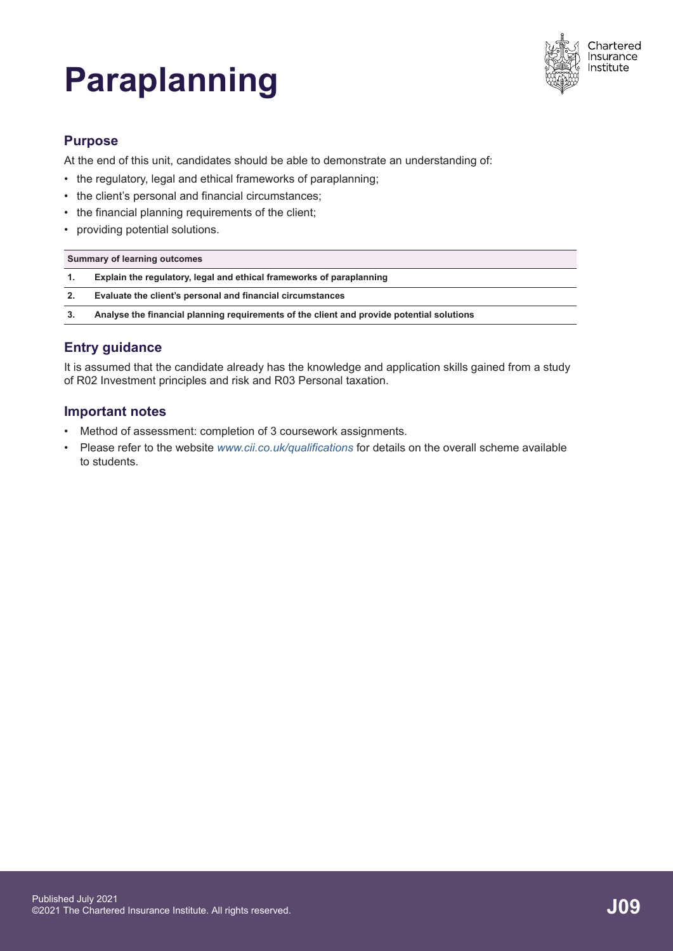# **Paraplanning**



# **Purpose**

At the end of this unit, candidates should be able to demonstrate an understanding of:

- the regulatory, legal and ethical frameworks of paraplanning;
- the client's personal and financial circumstances;
- the financial planning requirements of the client;
- providing potential solutions.

| Summary of learning outcomes |                                                                                           |
|------------------------------|-------------------------------------------------------------------------------------------|
| 1.                           | Explain the regulatory, legal and ethical frameworks of paraplanning                      |
| 2.                           | Evaluate the client's personal and financial circumstances                                |
| 3.                           | Analyse the financial planning requirements of the client and provide potential solutions |
|                              |                                                                                           |

# **Entry guidance**

It is assumed that the candidate already has the knowledge and application skills gained from a study of R02 Investment principles and risk and R03 Personal taxation.

# **Important notes**

- Method of assessment: completion of 3 coursework assignments.
- Please refer to the website *[www.cii.co.uk/qualifications](https://www.cii.co.uk/qualifications)* for details on the overall scheme available to students.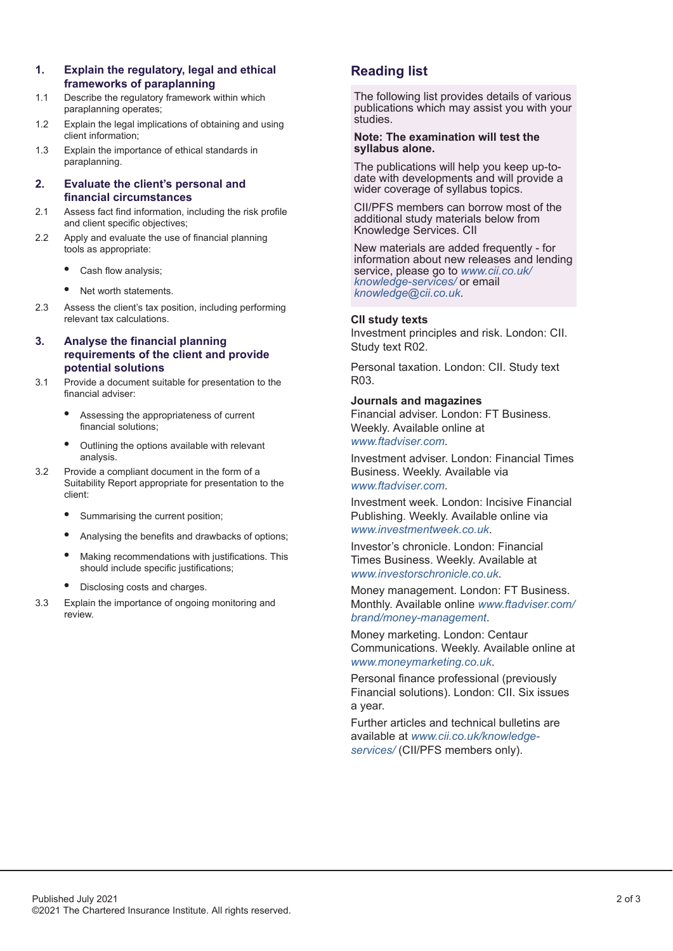**1. Explain the regulatory, legal and ethical**

- paraplanning operates;
- 1.2 Explain the legal implications of obtaining and using client information;
- 1.3 Explain the importance of ethical standards in paraplanning.

### **2. Evaluate the client's personal and financial circumstances**

- 2.1 Assess fact find information, including the risk profile and client specific objectives;
- 2.2 Apply and evaluate the use of financial planning tools as appropriate:
	- **•** Cash flow analysis;
	- **•** Net worth statements.
- 2.3 Assess the client's tax position, including performing relevant tax calculations.
- **3. Analyse the financial planning requirements of the client and provide potential solutions**
- 3.1 Provide a document suitable for presentation to the financial adviser:
	- **•** Assessing the appropriateness of current financial solutions;
	- **•** Outlining the options available with relevant analysis.
- 3.2 Provide a compliant document in the form of a Suitability Report appropriate for presentation to the client:
	- **•** Summarising the current position;
	- **•** Analysing the benefits and drawbacks of options;
	- **•** Making recommendations with justifications. This should include specific justifications;
	- **•** Disclosing costs and charges.
- 3.3 Explain the importance of ongoing monitoring and review.

# **Reading list**

The following list provides details of various publications which may assist you with your studies.

#### **Note: The examination will test the syllabus alone.**

The publications will help you keep up-todate with developments and will provide a wider coverage of syllabus topics.

CII/PFS members can borrow most of the additional study materials below from Knowledge Services. CII

New materials are added frequently - for information about new releases and lending service, please go to *[www.cii.co.uk/](https://www.cii.co.uk/knowledge-services/) [knowledge-services/](https://www.cii.co.uk/knowledge-services/)* or email *[knowledge@cii.co.uk](mailto:knowledge@cii.co.uk?subject=additional_reading)*.

## **CII study texts**

Investment principles and risk. London: CII. Study text R02.

Personal taxation. London: CII. Study text R03.

## **Journals and magazines**

Financial adviser. London: FT Business. Weekly. Available online at *[www.ftadviser.com](https://www.ftadviser.com)*.

Investment adviser. London: Financial Times Business. Weekly. Available via *[www.ftadviser.com](https://www.ftadviser.com)*.

Investment week. London: Incisive Financial Publishing. Weekly. Available online via *[www.investmentweek.co.uk](https://www.investmentweek.co.uk)*.

Investor's chronicle. London: Financial Times Business. Weekly. Available at *[www.investorschronicle.co.uk](https://www.investorschronicle.co.uk/)*.

Money management. London: FT Business. Monthly. Available online *[www.ftadviser.com/](https://www.ftadviser.com/brand/money-management) [brand/money-management](https://www.ftadviser.com/brand/money-management)*.

Money marketing. London: Centaur Communications. Weekly. Available online at *[www.moneymarketing.co.uk](https://www.moneymarketing.co.uk)*.

Personal finance professional (previously Financial solutions). London: CII. Six issues a year.

Further articles and technical bulletins are available at *[www.cii.co.uk/knowledge](https://www.cii.co.uk/knowledge)[services/](https://www.cii.co.uk/knowledge)* (CII/PFS members only).